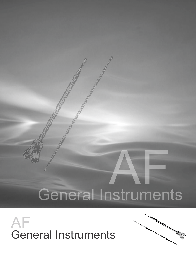

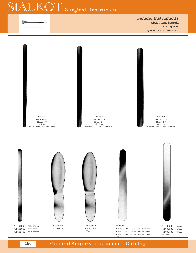# LKOT Surgical Instruments

黜

General Instruments Abdominal Spatula Bauchspatel Espatulas abdominales



# 186 **General Surgery Instruments Catalog**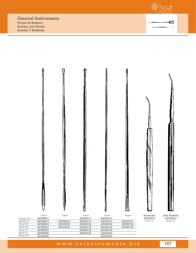Probes & Seekers Sonden und Finder Sundas Y Estiletes



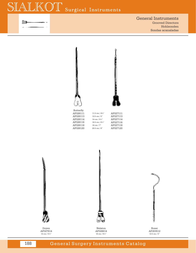# $\setminus$  ( )  $'$ Surgical Instruments



General Instruments Grooved Directors Hohlsonden Sondas acanaladas







Doyen AF027614 14 cm / 5½"



Nelaton AF028614 16 cm / 6¼"



Roser AF203512 12.5 cm / 5"

# 188 **General Surgery Instruments Catalog**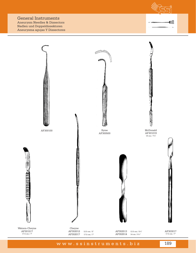Aneurysm Needles & Dissectors Nadlen und Doppeldissektoren Aneurysma agujas Y Dissectores



職



www.ssinstruments.biz 189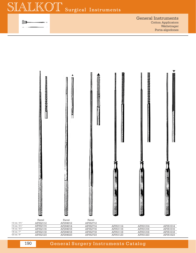綱

General Instruments Cotton Applicators Wattetrager Porta-algodones



| AF052112 | AF204012 | AF052712 |          |          |          |
|----------|----------|----------|----------|----------|----------|
| AF052114 | AF204014 | AF052714 | AF051114 | AF051314 | AF051514 |
| AF052116 | AF204016 | AF052716 | AF051116 | AF051316 | AF051516 |
| AF052118 | AF204018 | AF052718 | AF051118 | AF051318 | AF051518 |
| AF052123 | AF204023 | AF052723 | AF051123 | AF051323 | AF051523 |
|          |          |          |          |          |          |

190 **General Surgery Instruments Catalog**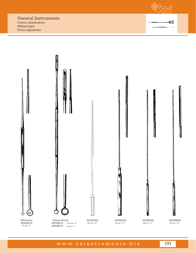Cotton Applicators Wattetrager Porta-algodones



職